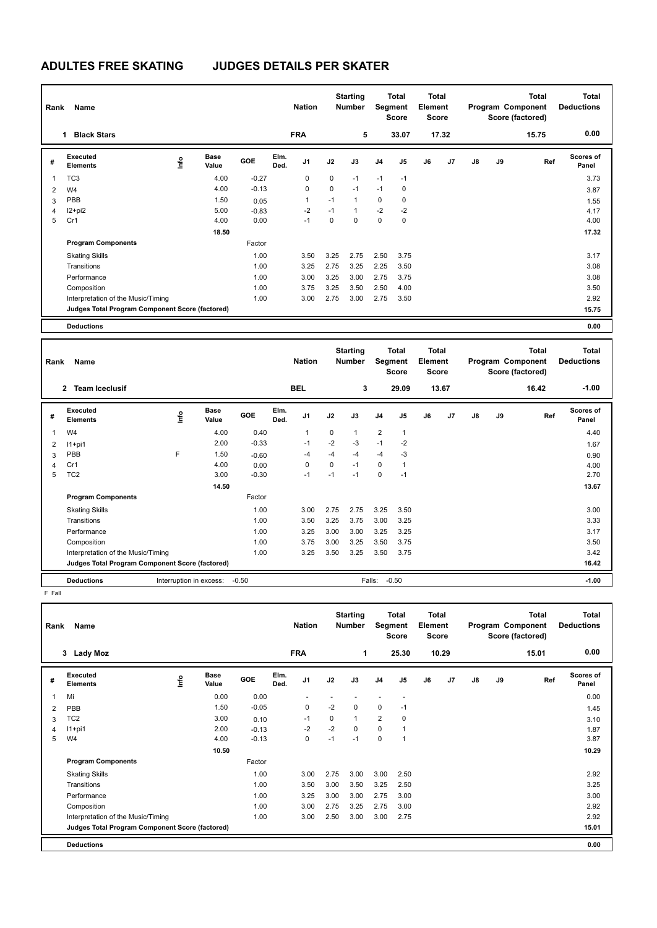## **ADULTES FREE SKATING JUDGES DETAILS PER SKATER**

| Name<br>Rank   |                                                 |      |                      |            |              | <b>Starting</b><br><b>Nation</b><br><b>Number</b> |      |                | Total<br>Segment<br><b>Score</b> |                | Total<br>Element<br><b>Score</b> |                |               | <b>Total</b><br>Program Component<br>Score (factored) | Total<br><b>Deductions</b> |                           |
|----------------|-------------------------------------------------|------|----------------------|------------|--------------|---------------------------------------------------|------|----------------|----------------------------------|----------------|----------------------------------|----------------|---------------|-------------------------------------------------------|----------------------------|---------------------------|
|                | <b>Black Stars</b><br>1                         |      |                      |            |              | <b>FRA</b>                                        |      | 5              |                                  | 33.07          |                                  | 17.32          |               |                                                       | 15.75                      | 0.00                      |
| #              | Executed<br><b>Elements</b>                     | lnfo | <b>Base</b><br>Value | <b>GOE</b> | Elm.<br>Ded. | J <sub>1</sub>                                    | J2   | J3             | J <sub>4</sub>                   | J <sub>5</sub> | J6                               | J <sub>7</sub> | $\mathsf{J}8$ | J9                                                    | Ref                        | <b>Scores of</b><br>Panel |
| 1              | TC <sub>3</sub>                                 |      | 4.00                 | $-0.27$    |              | 0                                                 | 0    | $-1$           | $-1$                             | $-1$           |                                  |                |               |                                                       |                            | 3.73                      |
| $\overline{2}$ | W <sub>4</sub>                                  |      | 4.00                 | $-0.13$    |              | 0                                                 | 0    | $-1$           | $-1$                             | 0              |                                  |                |               |                                                       |                            | 3.87                      |
| 3              | PBB                                             |      | 1.50                 | 0.05       |              | 1                                                 | $-1$ | $\overline{1}$ | $\mathbf 0$                      | 0              |                                  |                |               |                                                       |                            | 1.55                      |
| 4              | I2+pi2                                          |      | 5.00                 | $-0.83$    |              | $-2$                                              | $-1$ | $\overline{1}$ | $-2$                             | $-2$           |                                  |                |               |                                                       |                            | 4.17                      |
| 5              | Cr1                                             |      | 4.00                 | 0.00       |              | $-1$                                              | 0    | $\Omega$       | $\mathbf 0$                      | 0              |                                  |                |               |                                                       |                            | 4.00                      |
|                |                                                 |      | 18.50                |            |              |                                                   |      |                |                                  |                |                                  |                |               |                                                       |                            | 17.32                     |
|                | <b>Program Components</b>                       |      |                      | Factor     |              |                                                   |      |                |                                  |                |                                  |                |               |                                                       |                            |                           |
|                | <b>Skating Skills</b>                           |      |                      | 1.00       |              | 3.50                                              | 3.25 | 2.75           | 2.50                             | 3.75           |                                  |                |               |                                                       |                            | 3.17                      |
|                | Transitions                                     |      |                      | 1.00       |              | 3.25                                              | 2.75 | 3.25           | 2.25                             | 3.50           |                                  |                |               |                                                       |                            | 3.08                      |
|                | Performance                                     |      |                      | 1.00       |              | 3.00                                              | 3.25 | 3.00           | 2.75                             | 3.75           |                                  |                |               |                                                       |                            | 3.08                      |
|                | Composition                                     |      |                      | 1.00       |              | 3.75                                              | 3.25 | 3.50           | 2.50                             | 4.00           |                                  |                |               |                                                       |                            | 3.50                      |
|                | Interpretation of the Music/Timing              |      |                      | 1.00       |              | 3.00                                              | 2.75 | 3.00           | 2.75                             | 3.50           |                                  |                |               |                                                       |                            | 2.92                      |
|                | Judges Total Program Component Score (factored) |      |                      |            |              |                                                   |      |                |                                  |                |                                  |                |               |                                                       |                            | 15.75                     |
|                | <b>Deductions</b>                               |      |                      |            |              |                                                   |      |                |                                  |                |                                  |                |               |                                                       |                            | 0.00                      |

| Rank         | Name                                            |      |                      |         |              | <b>Nation</b> |             | <b>Starting</b><br><b>Number</b> |                | <b>Total</b><br><b>Segment</b><br><b>Score</b> | <b>Total</b><br>Element<br><b>Score</b> |         |    |    | <b>Total</b><br>Program Component<br>Score (factored) | <b>Total</b><br><b>Deductions</b> |
|--------------|-------------------------------------------------|------|----------------------|---------|--------------|---------------|-------------|----------------------------------|----------------|------------------------------------------------|-----------------------------------------|---------|----|----|-------------------------------------------------------|-----------------------------------|
|              | $\overline{2}$<br><b>Team Iceclusif</b>         |      |                      |         |              | <b>BEL</b>    |             | 3                                |                | 29.09                                          |                                         | 13.67   |    |    | 16.42                                                 | $-1.00$                           |
| #            | Executed<br><b>Elements</b>                     | ١nf٥ | <b>Base</b><br>Value | GOE     | Elm.<br>Ded. | J1            | J2          | J3                               | J <sub>4</sub> | J5                                             | J6                                      | J7      | J8 | J9 | Ref                                                   | Scores of<br>Panel                |
| $\mathbf{1}$ | W <sub>4</sub>                                  |      | 4.00                 | 0.40    |              | 1             | $\mathbf 0$ | 1                                | $\overline{2}$ | 1                                              |                                         |         |    |    |                                                       | 4.40                              |
| 2            | $11+pi1$                                        |      | 2.00                 | $-0.33$ |              | $-1$          | $-2$        | $-3$                             | $-1$           | $-2$                                           |                                         |         |    |    |                                                       | 1.67                              |
| 3            | PBB                                             | F    | 1.50                 | $-0.60$ |              | $-4$          | $-4$        | -4                               | $-4$           | $-3$                                           |                                         |         |    |    |                                                       | 0.90                              |
| 4            | Cr1                                             |      | 4.00                 | 0.00    |              | 0             | $\Omega$    | $-1$                             | $\mathbf 0$    | 1                                              |                                         |         |    |    |                                                       | 4.00                              |
| 5            | TC <sub>2</sub>                                 |      | 3.00                 | $-0.30$ |              | $-1$          | $-1$        | $-1$                             | $\mathbf 0$    | $-1$                                           |                                         |         |    |    |                                                       | 2.70                              |
|              |                                                 |      | 14.50                |         |              |               |             |                                  |                |                                                |                                         |         |    |    |                                                       | 13.67                             |
|              | <b>Program Components</b>                       |      |                      | Factor  |              |               |             |                                  |                |                                                |                                         |         |    |    |                                                       |                                   |
|              | <b>Skating Skills</b>                           |      |                      | 1.00    |              | 3.00          | 2.75        | 2.75                             | 3.25           | 3.50                                           |                                         |         |    |    |                                                       | 3.00                              |
|              | Transitions                                     |      |                      | 1.00    |              | 3.50          | 3.25        | 3.75                             | 3.00           | 3.25                                           |                                         |         |    |    |                                                       | 3.33                              |
|              | Performance                                     |      |                      | 1.00    |              | 3.25          | 3.00        | 3.00                             | 3.25           | 3.25                                           |                                         |         |    |    |                                                       | 3.17                              |
|              | Composition                                     |      |                      | 1.00    |              | 3.75          | 3.00        | 3.25                             | 3.50           | 3.75                                           |                                         |         |    |    |                                                       | 3.50                              |
|              | Interpretation of the Music/Timing              |      |                      | 1.00    |              | 3.25          | 3.50        | 3.25                             | 3.50           | 3.75                                           |                                         |         |    |    |                                                       | 3.42                              |
|              | Judges Total Program Component Score (factored) |      |                      |         |              |               |             |                                  |                |                                                |                                         |         |    |    |                                                       | 16.42                             |
|              | <b>Deductions</b>                               |      |                      |         | Falls:       | $-0.50$       |             |                                  |                |                                                |                                         | $-1.00$ |    |    |                                                       |                                   |

F Fall

|   | Name<br>Rank                                    |      |                      |         |              | <b>Nation</b>  |          | <b>Starting</b><br><b>Number</b> |                | <b>Total</b><br>Segment<br><b>Score</b> |    | <b>Total</b><br>Element<br><b>Score</b> |    |    | Total<br>Program Component<br>Score (factored) | <b>Total</b><br><b>Deductions</b> |  |
|---|-------------------------------------------------|------|----------------------|---------|--------------|----------------|----------|----------------------------------|----------------|-----------------------------------------|----|-----------------------------------------|----|----|------------------------------------------------|-----------------------------------|--|
|   | 3<br>Lady Moz                                   |      |                      |         |              | <b>FRA</b>     |          | 1                                |                | 25.30                                   |    | 10.29                                   |    |    | 15.01                                          | 0.00                              |  |
| # | Executed<br><b>Elements</b>                     | ١nfo | <b>Base</b><br>Value | GOE     | Elm.<br>Ded. | J <sub>1</sub> | J2       | J3                               | J <sub>4</sub> | J <sub>5</sub>                          | J6 | J7                                      | J8 | J9 | Ref                                            | Scores of<br>Panel                |  |
| 1 | Mi                                              |      | 0.00                 | 0.00    |              |                |          |                                  |                | ٠                                       |    |                                         |    |    |                                                | 0.00                              |  |
| 2 | PBB                                             |      | 1.50                 | $-0.05$ |              | $\mathbf 0$    | $-2$     | 0                                | $\mathbf 0$    | $-1$                                    |    |                                         |    |    |                                                | 1.45                              |  |
| 3 | TC <sub>2</sub>                                 |      | 3.00                 | 0.10    |              | $-1$           | $\Omega$ | 1                                | $\overline{2}$ | 0                                       |    |                                         |    |    |                                                | 3.10                              |  |
| 4 | $11+pi1$                                        |      | 2.00                 | $-0.13$ |              | $-2$           | $-2$     | 0                                | $\mathbf 0$    | $\mathbf{1}$                            |    |                                         |    |    |                                                | 1.87                              |  |
| 5 | W <sub>4</sub>                                  |      | 4.00                 | $-0.13$ |              | $\mathbf 0$    | $-1$     | $-1$                             | 0              | -1                                      |    |                                         |    |    |                                                | 3.87                              |  |
|   |                                                 |      | 10.50                |         |              |                |          |                                  |                |                                         |    |                                         |    |    |                                                | 10.29                             |  |
|   | <b>Program Components</b>                       |      |                      | Factor  |              |                |          |                                  |                |                                         |    |                                         |    |    |                                                |                                   |  |
|   | <b>Skating Skills</b>                           |      |                      | 1.00    |              | 3.00           | 2.75     | 3.00                             | 3.00           | 2.50                                    |    |                                         |    |    |                                                | 2.92                              |  |
|   | Transitions                                     |      |                      | 1.00    |              | 3.50           | 3.00     | 3.50                             | 3.25           | 2.50                                    |    |                                         |    |    |                                                | 3.25                              |  |
|   | Performance                                     |      |                      | 1.00    |              | 3.25           | 3.00     | 3.00                             | 2.75           | 3.00                                    |    |                                         |    |    |                                                | 3.00                              |  |
|   | Composition                                     |      |                      | 1.00    |              | 3.00           | 2.75     | 3.25                             | 2.75           | 3.00                                    |    |                                         |    |    |                                                | 2.92                              |  |
|   | Interpretation of the Music/Timing              |      |                      | 1.00    |              | 3.00           | 2.50     | 3.00                             | 3.00           | 2.75                                    |    |                                         |    |    |                                                | 2.92                              |  |
|   | Judges Total Program Component Score (factored) |      |                      |         |              |                |          |                                  |                |                                         |    |                                         |    |    |                                                | 15.01                             |  |
|   | <b>Deductions</b>                               |      |                      |         |              |                |          |                                  |                |                                         |    |                                         |    |    |                                                | 0.00                              |  |